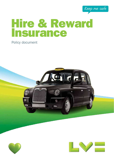

# Hire & Reward Insurance

# Policy document





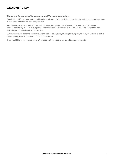# WELCOME TO LV=

# Thank you for choosing to purchase an LV= Insurance policy.

Founded in 1843 Liverpool Victoria, which also trades as LV=, is the UK's largest friendly society and a major provider of insurance and financial services products.

As a friendly society and mutual, Liverpool Victoria exists wholly for the benefit of its members. We have no shareholders taking a share of our profits. Instead we invest our profits in making our products competitive and delivering an outstanding customer service.

Our claims service goes the extra mile. Committed to doing the right thing for our policyholders, we will aim to settle claims quickly, even in the most difficult circumstances.

If you would like to learn more about LV= please visit our website at: www.LV.com/commercial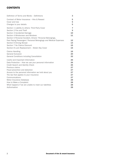# **CONTENTS**

| Definition of Terms and Words - Definitions                                                                                                                                                                   | 3                               |
|---------------------------------------------------------------------------------------------------------------------------------------------------------------------------------------------------------------|---------------------------------|
| Contract of Motor Insurance - Hire & Reward                                                                                                                                                                   | 5                               |
| Cover and Use                                                                                                                                                                                                 | 5                               |
| Changes to your details                                                                                                                                                                                       | 5                               |
| Section 1 Liability to others: Third Party Cover<br>Section 2 Fire and Theft<br>Section 3 Accidental Damage<br>Section 4 Windscreen and Windows<br>Section 5 Personal Accident, Drivers' Personal Belongings, | $\overline{7}$<br>9<br>10<br>11 |
| Fare Paying Passengers' Personal Belongings and Medical Expenses                                                                                                                                              | 12                              |
| Section 6 Driving Abroad                                                                                                                                                                                      | 14                              |
| Section 7 No Claims Discount                                                                                                                                                                                  | 15                              |
| Section 8 Lock Replacement – Stolen Key Cover                                                                                                                                                                 | 15                              |
| <b>Claims Handling</b>                                                                                                                                                                                        | 16                              |
| <b>General Exclusion</b>                                                                                                                                                                                      | 20                              |
| General Conditions including Cancellation                                                                                                                                                                     | 22                              |
| Useful and Important Information                                                                                                                                                                              | 26                              |
| Data Protection - How we use your personal information                                                                                                                                                        | 26                              |
| Credit Search and Identity Check                                                                                                                                                                              | 26                              |
| Previous claims                                                                                                                                                                                               | 27                              |
| Fraud prevention and detection                                                                                                                                                                                | 27                              |
| Access to the personal information we hold about you                                                                                                                                                          | 27                              |
| The law that applies to your insurance                                                                                                                                                                        | 27                              |
| Communications                                                                                                                                                                                                | 27                              |
| Motor Insurance Database                                                                                                                                                                                      | 28                              |
| How to Make a Complaint                                                                                                                                                                                       | 28                              |
| What happens if we are unable to meet our liabilities                                                                                                                                                         | 28                              |
| Authorisation                                                                                                                                                                                                 | 28                              |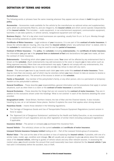# DEFINITION OF TERMS AND WORDS

# **Definitions**

The following words or phrases have the same meaning wherever they appear and are shown in **bold** throughout this policy.

Accessories – Accessories made available for the vehicle by the manufacturer as optional extras and supplementary parts which are permanently fitted to, and are integral to, the **insured vehicle** and which cannot operate independently of the insured vehicle. This includes: - audio equipment, in car entertainment equipment, communication equipment, taximeter, in cab data systems, in vehicle camera, navigational equipment and roof signs.

Business Day(s) – Part of a day when most businesses are operating, usually from 9 a.m. to 5 p.m. Monday through Friday excluding weekends or public holidays.

Certificate of Motor Insurance – Legal evidence of your insurance. It is one part of the contract of motor insurance. It shows the vehicles we are insuring, who may drive the insured vehicle (where 'any authorised driver' is stated, refer to the schedule for restrictions), what it may be used for and the period of insurance.

Contract of Motor Insurance – The policy, the schedule (including endorsements), the certificate of motor insurance, the information you gave us in the proposal form or statement of fact and declarations that you have made, all form the contract of motor insurance.

**Endorsements** – Something which alters your insurance cover. Your cover will be affected by any endorsement that is shown on the **schedule**. (Such endorsements may add exclusions to the cover or require you to take action such as fitting approved security.) More than one endorsement may apply. If **vou** do not comply with any endorsements, this **contract of motor insurance** may no longer be valid and we may refuse to deal with any claim.

**Excess** – The amount you have to pay towards each claim you make under this contract of motor insurance. There may be more than one excess, part of which may be voluntary (where you have chosen to take an excess to receive a discount on your premium). The amount of the excess is shown on the **schedule**.

Family or Household – Any member of the policyholder's family, or any other person, who is a permanent or temporary resident at the policyholder's address.

General Conditions – These describe your responsibilities, general information and the procedures that apply in certain situations, such as when there is a claim or the **contract of motor insurance** is cancelled.

General Exclusions – These describe the things that are not covered by the contract of motor insurance. They are in addition to the exclusions shown under the headings 'What is not covered' in each of the Sections detailing the cover provided.

Geographical Limits – Great Britain, Northern Ireland, the Isle of Man and the Channel Islands. It also includes travelling by sea, air or rail between these places. Section 6 explains the cover that applies when driving abroad.

**Hazardous Goods** – means those detailed in the following regulations:

- The Carriage of Dangerous Goods and Use of Transportable Pressure Equipment Regulations (current version in force to apply);
- n The 'Approved List of Dangerous Substances' published by the Health and Safety Executive, or any re-enactment or replacement of such regulations and any other legislation of similar intent (including subsequent legislation) if applicable.

**Insurance Adviser** – The person or company you purchased this insurance from.

Insured Vehicle – The vehicle(s) shown on the current schedule and certificate of motor insurance.

**Liverpool Victoria Insurance Company Limited** trading as  $LV = -$  Part of the Liverpool Victoria group of companies.

Market Value – The cost at the date of the accident or loss of replacing the insured vehicle, if possible, with one of a similar make, model, age, condition and mileage. We will usually ask an engineer to give us advice about the market value of the *insured vehicle*, referring to guides of vehicle values and any other relevant sources. In assessing the market value, you should consider the amount that could reasonably have been obtained for the insured vehicle if you had sold it immediately before the accident, loss or theft.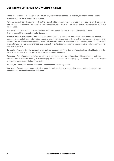# DEFINITION OF TERMS AND WORDS CONTINUED

Period of Insurance – The length of time covered by this contract of motor insurance, as shown on the current schedule and certificate of motor insurance.

Personal belongings – Certain property in the insured vehicle, which you wear or use in everyday life which belongs to you. Section 5 of this policy sets out the cover and limits which apply, and the items of personal belongings which are not included.

**Policy** – This booklet, which sets out the details of cover and all the terms and conditions which apply. It is one part of the contract of motor insurance.

Proposal Form or Statement of Fact – The documents filled in by you, or on your behalf by an insurance adviser, or someone else, and all other information you gave and declarations made at the time the insurance was arranged and on which we have relied when agreeing to offer this contract of motor insurance. If you do not give us full information at the start, and tell us about changes, this contract of motor insurance may no longer be valid and we may refuse to deal with any claim.

Schedule – Forms part of the contract of motor insurance and confirms details of you, the insured vehicle(s) and the cover which applies. It is one part of the contract of motor insurance.

Terrorism – Acts of persons acting on behalf of or in connection with any organisation which carries out activities directed towards the overthrowing or influencing by force or violence of Her Majesty's government in the United Kingdom or any other government de jure or de facto.

We, our, us – Liverpool Victoria Insurance Company Limited trading as LV=.

You, Your – The person, company or trading name (including subsidiary companies) shown as the Insured on the schedule and certificate of motor insurance.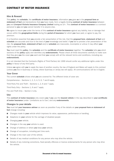# CONTRACT OF MOTOR INSURANCE

# Hire & Reward

This policy, the schedule, the certificate of motor insurance, information you gave us in the proposal form or statement of fact and declarations that you have made, form a legally binding contract of motor insurance between you and Liverpool Victoria Insurance Company Limited trading as LV=. This contract of motor insurance is a contract personal to you and you cannot transfer it to anyone else.

We agree to insure you under the terms of this contract of motor insurance against any liability, loss or damage that occurs within the **geographical limits** during the **period of insurance** for which you have paid, or agree to pay, the premium.

It is therefore essential that you provide a fair presentation of the risk, that the proposal form, statement of fact and schedule are accurate and true to the best of your knowledge and belief. If you fail to provide a fair presentation of the risk, the proposal form, statement of fact and/or schedule are inaccurate, incomplete or untrue it may affect your rights under the policy.

You must read this policy, the schedule and the certificate of motor insurance together. The schedule tells you which sections of the **policy** apply and identifies any **endorsements**. Please check all three documents carefully to make sure that they give you the cover you want and that you comply with all the relevant terms and conditions, including any endorsements.

It is not intended that the Contracts (Rights of Third Parties) Act 1999 should confer any additional rights under this policy in favour of any third party.

Unless we agree with you to apply the laws of another country, the law of England and Wales will apply to this contract (unless you live in Guernsey or Jersey, where Guernsey or Jersey law will apply). All communications will be in English.

#### Your Cover

The current **schedule** shows what **you** are covered for. The different kinds of cover are:

Comprehensive – Sections 1, 2, 3, 4, 5, 6, 7 and 8 apply.

Third Party Fire and Theft – Sections 1, 2, 6 and 7 apply.

Third Party Only – Sections 1, 6 and 7 apply.

Fire and Theft Only – Section 2 only.

#### Use

This contract of motor insurance only covers you if you use the insured vehicle in the way described in your certificate of motor insurance (under 'Limitations as to Use') and any endorsements.

# Changes to your details

You must tell your insurance adviser as soon as possible if any of the details on your proposal form or statement of fact change including:

- Changes made to your vehicle which improves its value, appearance, performance or handling.
- Adaptions to your vehicle for the carriage of disabled people
- Changing your vehicle.
- Changes in the way your vehicle is used.
- Change of address or where you keep your vehicle.
- Change of occupation, including part time work.
- $\blacksquare$  Change in the main user of the vehicle.
- Details of any medical conditions for any person who may drive the vehicle.
- Details of any motoring convictions, fixed penalty offences or licence endorsements for any person who may drive the vehicle.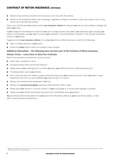# CONTRACT OF MOTOR INSURANCE CONTINUED

- **n** Details of any criminal convictions for any person who may drive the vehicle.
- Details of any accidents, thefts, loss or damage, regardless of blame or whether a claim was made or not, for any person who may drive the vehicle.

This is not a full list and you should contact your insurance adviser for advice if you are not sure whether a change will affect your cover.

If your change of circumstances means that we can no longer provide cover, we or our authorised agent will give you notice of cancellation, see our rights to cancel your insurance in the Cancellation Condition in the General Conditions section of **your** policy

If you do not tell your insurance adviser of a change we will be entitled to do one or both of the following:

- $\blacksquare$  reject or reduce payment of your claim.
- Cancel the **policy** and/or treat it as though it never existed.

# Additional Information – The following does not form part of the Contract of Motor Insurance Vehicle Crime – Learn How to Beat the Criminals

Most crime prevention methods are common sense:

- Never leave valuables on show.
- $\blacksquare$  Use good quality locks and security devices.\*
- $\blacksquare$  Always ensure your steering lock is on when you leave your vehicle and use a steering wheel lock.\*
- Fit locking wheel nuts to your wheels.
- Don't make life easier for thieves, always remove the keys from your vehicle and lock it when you leave it, even temporarily. Not to do so may invalidate your cover so lock it or lose it!
- Remove any entertainment equipment if you can.
- Remove any **personal belongings** especially mobile phones, PDA or cash.
- Always park your vehicle in a secure location, in your own garage or a secure public garage if possible.
- Always lock your vehicle and activate any alarm  $&/$  or immobiliser when you leave it.

You can obtain further information from your local Crime Prevention Officer at your local Police station, or visit: http://www.secureyourmotor.gov.uk/

<sup>\*</sup> We recommend you install security devices such as steering wheel locks, alarms and immobilisers that are accredited by Thatcham Motor Insurance Repair and Research Centre. For further information visit: http://www.thatcham.org/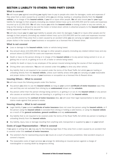# SECTION 1 LIABILITY TO OTHERS: THIRD PARTY COVER

# What is covered

We will insure you against everything you legally have to pay to people who claim for damages, costs and expenses if they arise from a claim caused by an accident while you are driving, loading or unloading (directly from the insured vehicle), or in charge of the insured vehicle, if you kill or injure other people. We will also insure you for your legal liability for damage to their property (including any related indirect loss) up to £10,000,000 and for costs and expenses incurred up to  $£2,000,000$ . We will also insure you while the insured vehicle is towing a trailer or any one vehicle, so long as the towing is allowed by law and the trailer or broken-down vehicle is attached properly to the *insured vehicle* by towing equipment made for this purpose.

We will also insure you for your legal liability to people who claim for damages if you kill or injure other people and for damage to their property (including any related indirect loss) up to £10,000,000 and for costs and expenses incurred up to £2,000,000 if they arise from a claim caused by an accident while you are carrying out your reasonable and proper duties in the course of your business or occupation as a licensed Hire & Reward driver.

# What is not covered

- Loss or damage to the *insured vehicle*, trailer or vehicle being towed.
- Any amount above £10,000,000 for damage to other people's property (including any related indirect loss) and any amount above £2,000,000 for costs and expenses incurred.
- Death or injury to the person driving or in charge of the insured vehicle or to any person being carried in or on, or getting into or out of, or getting on to or off, a trailer or vehicle being towed.
- Liability for death or injury to any employee of the person insured arising during the course of their employment.
- Driving other cars extension. You are not covered under this policy to drive any other vehicle.
- Any liability that is not required to be covered under the terms of the Road Traffic Act whilst you are loading or unloading directly from the *insured vehicle*, unless such liability arises while you are carrying out your reasonable and proper duties in the course of **your** business or occupation as a licensed Hire & Reward driver.

# Insuring Others – What is covered

We will also insure the following people under this Section.

- Any person you allow to use the insured vehicle as long as your current certificate of motor insurance says they can and they are not excluded from driving by an **endorsement** shown on the **schedule**.
- Any person (other than the person driving) being carried in, or getting in or out of, the **insured vehicle** or any person who causes an accident while they are traveling in, or getting in or out of, the **insured vehicle**.
- If anyone covered by the **contract of motor insurance** dies, we will cover their legal representative to deal with any claims made against that person's estate.

# Insuring others – What is not covered

- Legal liability if your current certificate of motor insurance does not cover the person using the insured vehicle, or if the person using the *insured vehicle* is excluded from driving or holding a valid licence, or using the *insured vehicle* as a result of the general exclusions, general conditions and any endorsements.
- n Any liability that is not required to be covered under the terms of the Road Traffic Act whilst any person is loading or unloading directly from the **insured vehicle**.
- n Any liability, injury, loss or damage resulting from anything sold, transported or supplied by you or on your behalf.

# Costs of Legal Representation – What is covered

If we agree in writing first, we may pay for the following legal fees if they arise from a claim caused by an accident that is covered under this contract of motor insurance.

- The solicitor's fee for representing anyone we insure at a court of summary jurisdiction, fatal accident enquiry or coroner's inquest.
- The reasonable costs of legal services we arrange for defending an insured person against a charge of manslaughter or causing death by dangerous driving.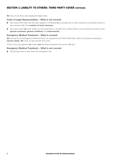# SECTION 1 LIABILITY TO OTHERS: THIRD PARTY COVER CONTINUED

We may, at any time, stop paying the legal costs.

#### Costs of Legal Representation – What is not covered

- Any costs which have not first been agreed in writing by us or arising from a claim caused by an accident which is not covered under this contract of motor insurance.
- $\Box$  Any costs where we have chosen to stop payments or arising from a claim which is not covered as a result of the general exclusions, general conditions and endorsements.

#### Emergency Medical Treatment – What is covered

We will pay for the Emergency Treatment Fees, as required by the Road Traffic Acts, after an accident involving the insured vehicle. We must, by law, provide this cover.

If this is the only payment we make, your No Claims Discount will not be affected.

### Emergency Medical Treatment – What is not covered

 $\blacksquare$  Any amount that is more than the compulsory fee.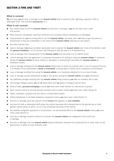# SECTION 2 FIRE AND THEFT

# What is covered

We will cover you for loss or damage to the insured vehicle that is caused by fire, lightning, explosion, theft or attempted theft. This includes **accessories** on it.

#### What is not covered

- Any vehicle which is not the **insured vehicle** and any loss or damage if you do not have cover under this section.
- Wear and tear, mechanical, electrical, electronic and computer failure, breakdowns or breakages.
- Compensation for you not being able to use the insured vehicle, any delay where we have to get new parts or accessories or they are unavailable, or the value of the **insured vehicle** reducing for any reason.
- Any other indirect loss.
- **n** Loss or damage if you have not taken reasonable care to protect the **insured vehicle** (see 'Care of the Vehicle' under the general conditions), or if it has been left unlocked or with the keys in it or attached to it.
- Loss or damage from repossession of the **insured vehicle** and returning it to its rightful owner.
- Loss or damage from any agreement or proposed transaction for selling or hiring the *insured vehicle* or someone taking the **insured vehicle** by fraud, trickery or deception or attempting to purchase the **insured vehicle** by fraudulent means.
- Loss or damage arising from the **insured vehicle** being taken or driven by a person who is not an insured driver but is a member of the policyholder's **family or household**, or being taken or driven by an employee or ex-employee.
- **n** Loss or damage resulting from using the **insured vehicle**, or of machinery attached to it, as a tool of trade.
- Loss or damage caused deliberately by you or any person driving the insured vehicle with your permission.
- Any additional damage resulting from the **insured vehicle** being moved by you after an accident, fire or theft.
- $\blacksquare$  Any storage charges unless you tell us about them and we agree in writing to pay for them.
- Tools of trade, **personal belongings** (unless you have cover under Section 5), documents or goods.
- Keys, remote control or security devices (whether lost or stolen) unless you have cover under Section 8.
- Tapes, cassettes, compact and mini discs, or Citizen-Band radios.
- Mobile telephones or portable telephone equipment unless you have cover under Section 5.
- Any loss or damage up to the amount of the excess that appears on your schedule.
- n Any loss for theft or attempted theft where the vehicle has been left unlocked and/or the ignition key or other ignition control device is left in, on or in the immediate proximity of the vehicle.
- Any satellite navigation equipment or accessories, not permanently fitted to the insured vehicle unless you have cover under Section 5.
- Any loss or damage caused by failure to maintain the **insured vehicle** and safeguard it from such loss or damage.
- Any loss or damage from the *insured vehicle* being confiscated, disposed of or destroyed by or under order of any government or public or local authority order.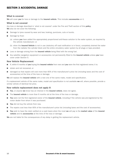# SECTION 3 ACCIDENTAL DAMAGE

# What is covered

We will cover you for loss or damage to the insured vehicle. This includes accessories on it.

### What is not covered

Any loss or damage described in 'what is not covered' under the Fire and Theft section of this **policy**. We also do not cover the following:

- Damage to tyres caused by wear and tear, braking, punctures, cuts or bursts.
- Damage by frost:
	- (a) unless you have added the appropriately proportioned anti-freeze solution to the water system, as required by the vehicle manufacturer; or
	- (b) when the **Insured Vehicle** is not in use (statutory off road notification is in force), completely drained the water from the radiator the cylinder block and the entire circulatory water system by all plugs or taps provided;
- Loss or damage arising from the *insured vehicle* being filled with the wrong fuel.
- Any satellite navigation equipment or accessories not permanently fitted to the insured vehicle unless you have cover under Section 5.

# New Vehicle Replacement

- If, within 6 months of you buying the insured vehicle from new and you were the first registered owner, it is:
- stolen and not recovered, or
- damaged so that repairs will cost more than 60% of the manufacturer's price list (including taxes and the cost of accessories) at the time of the loss or damage;

We will replace the insured vehicle with a new one of the same make, model and specification.

If a replacement vehicle of the same make, model and specification is not available we will, where possible, provide a similar vehicle of identical list price.

# New vehicle replacement does not apply if:

- You, or anyone we know has an interest in the insured vehicle, does not agree.
- The **insured vehicle** is more than 6 months old at the time of the loss or damage.
- You were not the first registered owner of the insured vehicle, including if the vehicle was pre-registered by the motor dealer from whom it was purchased.
- You did not buy the vehicle from new.
- The repairs cost less than 60% of the manufacturer's price list (including taxes and the cost of accessories).
- You wish to have the claim settled on a cash basis when the most we will pay is the market value of the insured vehicle and its accessories at the time of the loss or damage.

We are not liable for the consequences of any delay in getting the replacement vehicle.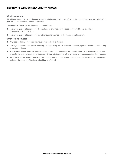# SECTION 4 WINDSCREEN AND WINDOWS

# What is covered

We will pay for damage to the insured vehicle's windscreen or windows. If this is the only damage you are claiming for, your No Claims Discount will not be affected.

The **schedule** shows the maximum amount we will pay:

- n any one **period of insurance** if the windscreen or window is replaced or repaired by **our** glassline (Phone 0800 678 1010); or
- n In any one **period of insurance** if any other supplier carries out the repair or replacement.

#### What is not covered

- Any loss or damage if you do not have cover under this Section.
- Damaged sunroofs, roof panels including damage to any part of a convertible hood, lights or reflectors, even if they are made of glass.
- The excess, unless you have your windscreen or window repaired rather than replaced. (The excess must be paid direct to the repair or replacement company if your windscreen or other windows are replaced, rather than repaired.)
- Extra costs for the work to be carried out outside normal hours, unless the windscreen is shattered or the driver's vision or the security of the **insured vehicle** is affected.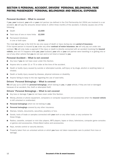# SECTION 5 PERSONAL ACCIDENT, DRIVERS' PERSONAL BELONGINGS, FARE PAYING PASSENGERS' PERSONAL BELONGINGS AND MEDICAL EXPENSES

# Personal Accident – What is covered

If vou, vour husband, vour wife or vour civil partner (as defined in the Civil Partnership Act 2004) are involved in a car accident, we will pay the amounts shown below if, within three months of the accident, it directly causes one of the following:

- Death **£2,500**
- Total loss of one or more limbs £2,500
- Permanent blindness in one or both eyes **£2,500**

The most we will pay is the limit for any one cause of death or injury during any one period of insurance. If the injured person is insured by us under any other contract of motor insurance, we will only pay out under one contract. We will only make a payment if the injury or death is directly connected with an accident involving the insured vehicle, and not if it happens while you, your husband, your wife or your civil partner were travelling in or getting into or out of any other vehicle that you do not own and is not hired or leased to you.

# Personal Accident – What is not covered

- Any loss if you do not have cover under this Section.
- Anyone who is under 21 or 75 or older at the time of the accident.
- Death or bodily injury caused by suicide or attempted suicide, self-injury or by drugs, alcohol or anything taken or inhaled.
- Death or bodily injury caused by disease, physical sickness or disability.
- Anyone failing to keep to the law regarding the use of seat belts.

# Drivers' Personal Belongings – What is covered

We will pay up to £250 for personal belongings, which belong to you, in your vehicle, if they are lost or damaged because of an accident, fire, theft or attempted theft.

# Drivers' Personal Belongings – What is not covered

- Any loss or damage if you do not have cover under this Section.
- Money, phones or phone equipment, computers or computer equipment and accessories when the insured vehicle is left unlocked or unattended.
- **Personal belongings** which do not belong to you.
- Personal belongings covered by any other insurance.
- Stamps, tickets, documents, securities, jewellery or furs.
- Goods, tools of trade or samples connected with your work or any other trade, or any container for these things.
- n Radios, cassette, compact or mini disc players, MP3 players, tapes or discs, televisions, computer game consoles or games and accessories, Citizen-Band radios and accessories.
- Keys, remote control or security devices.
- Property taken from an unlocked vehicle or which you have not taken reasonable care to protect from loss or damage.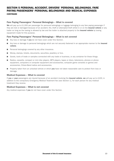# SECTION 5 PERSONAL ACCIDENT, DRIVERS' PERSONAL BELONGINGS, FARE PAYING PASSENGERS' PERSONAL BELONGINGS AND MEDICAL EXPENSES **CONTINUED**

# Fare Paying Passengers' Personal Belongings – What is covered

We will pay up to £1,000 per passenger for personal belongings or luggage belonging to any fare paying passenger if they are lost or damaged because of an accident, fire, theft or attempted theft whilst in or on the **insured vehicle** or any trailer so long as the towing is allowed by law and the trailer is attached properly to the *insured vehicle* by towing equipment made for this purpose.

# Fare Paying Passengers' Personal Belongings – What is not covered

- Any loss or damage if **you** do not have cover under this Section.
- Any loss or damage to personal belongings which are not securely fastened in an appropriate manner to the *insured* vehicle.
- $\blacksquare$  Personal belongings covered by any other insurance.
- Money, stamps, tickets, documents, securities, jewellery or furs.
- Goods, tools of trade or samples connected with any trade or business, or any container for these things.
- Radios, cassette, compact or mini disc players, MP3 players, tapes or discs, televisions, phones or phone equipment, computers or computer equipment and accessories, computer game consoles or games and accessories, Citizen-Band radios and accessories.
- **n** Property taken from an unlocked vehicle or which you have not taken reasonable care to protect from loss or damage.

# Medical Expenses – What is covered

If you or your passengers are injured because of an accident involving the insured vehicle, we will pay up to £100, in addition to the compulsory Emergency Medical Treatment fee (see Section 1), for each person for any medical treatment they receive.

# Medical Expenses – What is not covered

Any medical expenses if **you** do not have cover under this Section.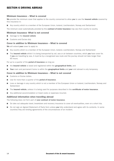# SECTION 6 DRIVING ABROAD

# Minimum Insurance – What is covered

We provide the minimum cover that applies to the country concerned to allow you to use the insured vehicle covered by this insurance in:

n Any country which is a member of the European Union, Iceland, Liechtenstein, Norway and Switzerland

The minimum cover automatically provided by this **contract of motor insurance** may vary from country to country.

## Minimum Insurance -What is not covered

- Damage to the insured vehicle
- $\Box$  Customs and Excise duty

# Cover in addition to Minimum Insurance – What is covered

We will extend your cover to apply to:

- n Any country which is a member of the European Union, Iceland, Liechtenstein, Norway and Switzerland
- The **insured vehicle** whilst it is being transported by rail, sea or air between countries, which **vou** have cover for. If you are travelling by sea, it must be by a recognised sea route and the journey should not take longer than 65 hours.

For up to a quarter of the **period of insurance** as long as:

- the insured vehicle is taxed and registered within the geographical limits, and
- **Nour** main and permanent home is within the **geographical limits** and your visit abroad is only temporary.

#### Cover in addition to Minimum Insurance – What is not covered

- Customs or Excise duties.
- Use for more than a quarter of the **period of insurance**.
- Loss or damage in any country which is not a member of the European Union or Iceland, Liechtenstein, Norway and Switzerland
- The insured vehicle, unless it is being used for purposes described in the certificate of motor insurance.
- Any additional accommodation or travel costs or expenses incurred.

# Additional information when travelling abroad

The following does not form part of your contract of motor insurance.

- Do take out adequate travel, breakdown and recovery insurance to cover all eventualities, even on a short trip.
- Do not sign an Agreed Statement of Facts form unless you fully understand and agree with its contents. In some countries they are binding agreements of the circumstances of an incident.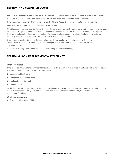# SECTION 7 NO CLAIMS DISCOUNT

If this is a yearly contract, and you do not claim under this insurance and you have not been involved in an accident which has or may result in a claim against you, we will give a discount from your renewal premium.

If the insurance covers more than one vehicle, the No Claims Discount will apply separately for each vehicle.

You cannot transfer your No Claims Discount to anyone else.

We will reduce or remove your No Claims Discount if we make any payment whatsoever, even if the accident is not your fault, unless we get the money back from someone else. We may withhold the No Claims Discount in full or part if there are any claims that have not been settled. If we recover all our money, or we have good reason to believe a third-party claim would be unsuccessful, the No Claims Discount would apply again.

If you have a protected No Claims Discount (shown on the schedule) we will not reduce the Discount. The protected No Claims Discount only applies while you are insured by us and cannot be transferred to another insurer.

Premiums in future years may still be increased according to the claims history.

# SECTION 8 LOCK REPLACEMENT – STOLEN KEY

#### What is covered

If the keys, lock transmitter or entry card for the keyless entry system of your insured vehicle are stolen, we will pay up to a maximum of £250 towards the cost of replacing:

- $\blacksquare$  the door and boot locks
- $\blacksquare$  the ignition and steering locks
- $\blacksquare$  the lock transmitter; and
- the entry card

provided that we are satisfied that the identity or location of your insured vehicle is known to any person who may have the keys, transmitter or entry card, and reasonable care is taken to safeguard the keys, transmitter or entry card from loss.

# What is not covered

 $\blacksquare$  Any amount in excess of £250.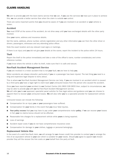# CLAIMS HANDLING

We aim to provide you with the best claims service that we can. If you use the services we have put in place to achieve this, we can provide a better service than when the claim is outside our control.

There are some important points that you should be aware of if you are involved in an accident or your vehicle is stolen.

# Accident

You must STOP at the scene of the accident, do not drive away until you have exchanged details with the other party involved.

Give your name, address and insurance details.

Get the name, address, phone number, vehicle registration and any other information you can from the other driver or drivers, passengers, witnesses and any attending police officer.

Note the exact location and any relevant road signs or markings.

If there is an injury and you did not give your details at the scene, report the incident to the police within 24 hours.

# Theft

Report the theft to the police immediately and take a note of the officer's name, number constabulary and crime reference number.

If you know where the vehicle is after its theft, make sure that it is safe and secure.

# Non-Fault Accident Management Service

If you are involved in a motor accident that is not your fault, we are here to help you.

Motor accidents are always stressful, particularly if you or a passenger has been injured. The last thing you need is a long and expensive legal dispute to worry about.

This is where our Non-Fault Accident Management Service can help. If you are involved in an accident which is caused by a third party you have a legal right to claim back your uninsured losses from the person who caused the accident.

Once you have reported your accident to our Contact Centre (UK) 0800 028 9655 then, subject to circumstances, we may be able to provide you with our full Non-Fault Accident Management service.

We will refer you to our approved, specialist panel solicitor for free legal advice and guidance and you can choose to appoint them to recover your uninsured losses. We will also refer you to a specialist provider for replacement vehicle hire.

Uninsured losses can include the following:

- Compensation for an injury you or your passengers have suffered.
- Compensation for your family in the event that you incur fatal injuries.
- **Nour policy excess** that you may have to pay under your comprehensive motor policy. If we can recover your losses in full, your no claims bonus should not be affected.
- Reasonable hire charges for a replacement vehicle while **yours** is being repaired.
- Loss of earnings
- Accident repair costs if you do not have comprehensive insurance cover.
- Compensation for damage to your clothes, luggage or personal belongings.

#### Replacement Vehicle Hire

In the event of a valid Non-Fault claim, we will arrange for our chosen credit hire provider to contact you to arrange the hire of an equivalent vehicle to your own which is suitable for your needs. Should you agree to appoint our chosen provider they will the recover the hire costs on your behalf from the party at fault.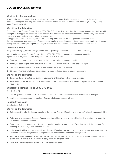# CLAIMS HANDLING CONTINUED

# What to do after an accident

If you are involved in an accident, remember to write down as many details as possible, including the names and addresses of anyone who may have seen the accident. Let us have this information as soon as you can by calling us on 0800 028 9655.

# We will do the following:

Once you call our Contact Centre (UK) on 0800 028 9655 if we determine that the accident was not your fault we will refer you to our approved, specialist panel solicitor. Our approved solicitors are available 24 hours a day, 365 days a year to give you free legal advice following a motor accident.

**Our** approved solicitor will be fully committed to settling your claim on the best possible terms and once they have assessed your prospects of success, and you have agreed to appoint them to represent you they will pursue any injuries suffered to you or your passengers and will also pursue other uninsured losses on your behalf.

# Claims Procedure

If any accident, injury, loss or damage occurs you, or your legal representative, must do the following:

Inform us by calling our Contact Centre (UK) on 0800 028 9655 as soon as is reasonably possible. If your claim is for glass only call our glassline on 0800 678 1010.

- Send us, unanswered, every letter you receive about a claim as soon as possible.
- Tell us, as soon as you know, about any prosecution, coroner's inquest or fatal accident injury.
- Not admit liability or negotiate a settlement without our written permission.
- Give any information, help and co-operation we need, including going to court if necessary.

# We will do the following:

- Take over, defend or settle any claims in **your** name, or that of any other person insured.
- Take action (which we will pay for) in your name, or that of any other person insured, to get back any money we have paid.

# Windscreen Damage – Ring 0800 678 1010

#### (See Section 4)

Contact our glassline (0800 678 1010) as soon as possible after the insured vehicle's windscreen is damaged.

Some windscreen damage can be repaired. If so, no windscreen **excess** will apply.

# Handling your claim

(See Sections 2, 3 and 8)

# We will do the following:

- Get an agent to take the *insured vehicle* to the nearest Approved Repairer or another safe place if vou cannot drive it.
- Refer you to an Approved Repairer. You can take the vehicle to them or they will collect it and return it to you after an estimate has been prepared.
- Send the vehicle to an Approved Repairer, or another repairer of your choice, if we disagree with the estimate for repairing it provided by a non-approved repairer.
- If the insured vehicle is being repaired by an Approved Repairer from our network, they will provide you with a courtesy vehicle for personal use (this will not be provided if a plated vehicle option has been granted).
- Treat the **insured vehicle** as stolen if it has not been recovered within 30 working days after **vou** reported the theft to our Contact Centre. It must still be missing when we pay your claim.
- Have **vour** vehicle examined by **our** own or **our** appointed engineer.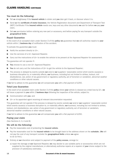# CLAIMS HANDLING CONTINUED

# You must do the following:

- Tell us straightaway if the insured vehicle is stolen and you later get it back, or discover where it is.
- Send us the certificate of motor insurance, the Vehicle Registration document and Department of Transport Test (MOT) Certificate if the *insured vehicle* needs one, keys and any other documents we ask for before we pay your claim.
- Get our permission before ordering any new part or accessory, and before paying for any transport outside the geographical limits.

# Repair Guarantee

In the event of an accepted claim under Section 3 of this policy we guarantee that we will authorise repairs to your vehicle within 1 **business day** of notification of the accident.

To activate the guarantee you must:

- Notify the accident directly to  $LV =$ .
- Use the services of a  $LV =$  Approved Repairer.
- Carry out the instructions of LV= to enable the vehicle to be present at the Approved Repairer for assessment.

The guarantee will not operate if:-

- You choose to use a non LV= Approved Repairer:
- You do not carry out the instructions of  $LV =$  to get the vehicle to the Approved Repairer;
- The process is delayed by events outside our and/or our suppliers' reasonable control which events cause(s) a business disruption to, or materially affects, our business, including but not limited to strikes, lockout, civil disobedience, war, action of any government or regulatory authority, act of terrorism or vandalism, abnormal weather conditions or other natural causes.

If we fail to adhere to this guarantee we will compensate you with a flat payment of  $£250$ .

# Total Loss Guarantee

In the event of an accepted claim under Section 3 of this **policy** where **your** vehicle is classed as a total loss by  $LV =$ , we will issue a payment to you within 2 business days following the inspection of the vehicle, subject to:

- Communication with you; and
- $LV =$  or its appointed agent receiving all relevant documentation requested.

This guarantee will not operate if the process is delayed by events outside our and/or our suppliers' reasonable control which events cause(s) a business disruption to, or materially affects, our business, including but not limited to strikes, lockout, civil disobedience, war, action of any government or regulatory authority, act of terrorism or vandalism, abnormal weather conditions or other natural causes.

If we fail to adhere to this guarantee we will compensate you with a flat payment of  $£250$ .

# Paying your claim

(See Sections 2, 3, 4 and 8)

# We will do the following:

- Pay the reasonable cost of protecting the insured vehicle.
- Pay the reasonable cost for the insured vehicle to be brought back to the address shown on the schedule. (We will not pay the cost of any transport outside the **geographical limits** unless we agree to do so first.)
- Entirely at our discretion and subject to payment of the **policy excess**, arrange to:
	- a) repair the damage at our Approved Repairer, we may decide to use suitable parts or accessories which are not supplied by the original manufacturer, or alternatively authorise repairs at a repairer of your choice subject to the provision of satisfactory estimates,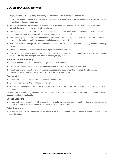# CLAIMS HANDLING CONTINUED

- b) pay you the cost of replacing or repairing the damaged parts, including their fitting, or
- c) treat the **insured vehicle** as a total loss and pay you the market value of the vehicle less the excess just before the loss or damage happened.
- Pay the last known cost shown in the manufacturer's price list and the reasonable cost of fitting if any lost or damaged part or accessory is no longer available.
- n Not pay the whole cost of any repair or replacement that leaves the vehicle in a better condition than before the loss or damage (you will pay part of the cost of the repair or replacement).
- Not refund any premium if the insured vehicle is written off or there is any claim. Once you accept our offer or we have paid the claim (or both) the *insured vehicle* becomes our property.
- Settle the claim to the legal owner if the insured vehicle is part of a hire-purchase or leasing agreement, or belongs to someone else.
- We will not pay the VAT element of any claim if you are registered for VAT.
- If we declare the insured vehicle a total loss (write off), you must pay whatever you owe us before we will pay your claim, or we may take what you owe us from anything we pay you.

# You must do the following:

- Pay any excess direct to the repairer when you collect your vehicle.
- Pay the VAT direct to the repairer when you collect your vehicle if you are registered for VAT.
- Reimburse us any amount paid to any repairer in respect of a claim under the contract of motor insurance in relation to the VAT element of the total cost, if you are registered for VAT.

# Excess Waiver

In the event of a claim under Section 3 of the **policy** where either:

- Liability is admitted by the Third Party insurer; or
- The accident description is Hit in rear, Hit whilst parked or Third Party from side road and the Third Party insurer is known,

subject to the accident being notified to LV= within 48 hours of occurrence, we may, at our discretion, waive the policy excess stated on the schedule.

# Excess Discount

In the event of a claim under Section 3 of the **policy**, the **policy excess** applicable may, at our discretion, be reduced by 50% if the accident is reported directly to LV= within 24 hours of the incident.

# Other Insurance

If there is any other insurance covering the same claim, we will only pay our share of the claim, even if the other insurer refuses the claim.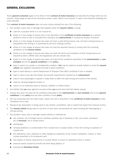# GENERAL EXCLUSIONS

These general exclusions apply to the whole of this contract of motor insurance and describe the things which are not covered. These apply as well as the exclusions shown under 'What is not covered' in each of the Sections detailing the cover provided.

This **contract of motor insurance** does not cover claims arising from any of the following.

- 1 Any accident, injury, loss or damage that happens while the insured vehicle is being:
	- used for a purpose which it is not insured for;
	- **n** driven or in the charge of anyone who is not described in the **certificate of motor insurance** as a person entitled to drive or who is excluded from driving by any **endorsements** or covered by another insurance;
	- n driven or in the charge of anyone who does not have a valid driving licence, has not held a driving licence, is disqualified from driving or is prevented by law from holding a licence.
	- driven or in the charge of anyone who does not hold the requisite licence to comply with the Licensing conditions of the insured vehicle;
	- driven or in the charge of anyone who does not meet the terms and conditions of their driving licence as required by DVLA /DVANI rules and regulations and any relevant law;
	- n driven or in the charge of anyone who does not meet all the conditions described in the **endorsements** on your schedule and all the general conditions in this policy;
	- kept or used in an unsafe or unroadworthy condition. (You may be asked to provide details to show the insured vehicle was regularly maintained and kept in good condition);
	- kept or used without a current Department of Transport Test (MoT) certificate if one is needed;
	- kept or used in any way that breaks any security requirements imposed by an **endorsement**;
	- used to carry passengers or goods in away likely to affect the safe driving and control of the vehicle;
	- used for carrying dangerous loads; or
	- used in or on restricted areas of airports, airfields or military bases.
- 2 Any liability that you have agreed to accept unless you would have had that liability anyway.
- 3 Anyone who does not meet all the conditions described in the endorsements on your schedule and all the general conditions in this policy and any other condition of this policy.
- 4 Any use connected with the motor trade, unless this use is described in the certificate of motor insurance (under Limitations as to Use).
- 5 Racing of any description or being used in any contest, competition, rally or speed trial (apart from treasure hunts).
- 6 The insured vehicle being used on any form of race track, de-restricted toll road (including the Nurburgring) or off-road activity.
- 7 Any accident, injury, loss or damage caused directly or indirectly by:
	- war, invasion, act of foreign enemy, hostilities (whether war is declared or not), civil unrest, revolution, act of **terrorism**, riot or similar event:
	- earthquake;
	- ionising radiations or contamination from nuclear fuel or nuclear waste or from the burning or explosion of nuclear fuel;
	- $\blacksquare$  the radioactive, toxic, explosive or other dangerous properties of any nuclear installation, reactor, or other nuclear assembly or its component part;
	- any weapon or device using atomic or nuclear fission or fusion or radioactive force or matter;
	- pressure waves caused by aircraft and other flying objects; or
	- carrying any Hazardous Goods.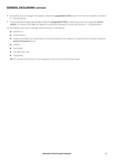# GENERAL EXCLUSIONS CONTINUED

- 8 Any liability, loss or damage that happens outside the geographical limits (apart from the cover detailed in Section 6 – Driving Abroad).
- 9 Any proceedings brought against you outside the geographical limits, unless they result from using the insured vehicle in a country which we have agreed to extend this insurance to cover (see Section 6 – Driving Abroad).
- 10 Any liability, injury, loss or damage caused directly or indirectly by:
	- pollution; or
	- contamination;
	- n unless the pollution or contamination is directly caused by one incident at a specific time and place during the period of insurance and is:
	- sudden;
	- $\blacksquare$  identifiable;
	- not deliberate; and
	- $\blacksquare$  unexpected.

We will consider the pollution to have happened at the time the incident took place.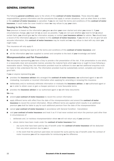# GENERAL CONDITIONS

The following general conditions apply to the whole of this contract of motor insurance. These describe your responsibilities, general information and the procedures that apply in certain situations, such as when there is a claim or the contract of motor insurance is cancelled. If you do not meet the terms and conditions of this contract of motor **insurance**, it could make the cover invalid or mean we may refuse to pay your claim.

# Keeping to the Policy Terms

Your premium is based on the information you gave us when your cover started and when you renew it. If your circumstances change, you must tell us as soon as possible. If you are not sure whether you need to tell us about certain facts, you should give us the information anyway, or contact your insurance advisor for advice. You should keep a record of the information you give in relation to this contract of motor insurance. If you did not or do not give full and accurate information, this contract of motor insurance may be invalid and we may refuse to deal with any claim you might make.

This insurance will only apply if:

- n the person claiming has kept to all the terms and conditions of this **contract of motor insurance**; and
- all the information you have supplied is correct and complete to the best of your knowledge and belief.

# Misrepresentation and Fair Presentation

You and anyone representing you have a Duty to provide a fair presentation of the risk. A fair presentation is one which, in a reasonably clear and accessible manner, provides the material facts which you know or ought to know following a reasonable search. Failing that, the information provided must be sufficient to warn us that additional enquiries must be made to fully understand the risk. The information provided must be substantially correct, complete and made in good faith.

If you or anyone representing you

- provides the insurance advisor who arranged the contract of motor insurance, our authorised agent or us with misleading, incomplete or incorrect information when applying for, amending or renewing this insurance
- deliberately and/or recklessly withholds information or misleads the *insurance advisor*, or our authorised agent or us in order to obtain cover or gain a cheaper premium or more favourable terms
- n provides the *insurance advisor* or our authorised agent or us with false documents

We may

- amend your contract of motor insurance to record the correct information
- apply different terms with effect from the date of the misrepresentation and amend the **contract of motor insurance** to record the correct information. Where different terms are applied which results in an additional premium you shall be liable to pay for such additional premium from the date of the misrepresentation
- cancel your contract of motor insurance in accordance with General Condition Cancellation
- void your contract of motor insurance and treat it as if it had never existed and return the premium paid other than in circumstances of
	- i. deliberate and /or reckless misrepresentation where we will not return any of your premium
	- ii. where claims have been made under the contract of motor insurance then
		- any sums that have been paid by way of benefit under the contract of motor insurance will be deducted from any return premium due to you or
		- in the event that the premium paid does not exceed the sums paid by way of benefit under the contract of motor insurance **you** will be responsible for reimbursing **us** the difference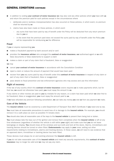# GENERAL CONDITIONS CONTINUED

- in addition to voiding your contract of motor insurance we may also void any other policies which you have with us and return the premium paid for such policies except in the circumstances where
	- i. deliberate and/or reckless misrepresentation has also occurred on these policies, in which event, no premium shall be returned by us
	- ii. claims have also been made on these policies, in which event
		- any sums that have been paid by way of benefit under the Policy will be deducted from any return premium due to you or
		- in the event that the premium paid does not exceed the sums paid by way of benefit under the Policy you will be responsible for reimbursing us the difference

# Fraud

If you or anyone representing you

- makes a fraudulent payment by bank account and/or card
- provides the *insurance adviser* who arranged the **contract of motor insurance, our** authorised agent or us with false documents or false statements to support a claim
- makes a claim or part of any claim that is fraudulent, false or exaggerated

we may

- cancel your contract of motor insurance in accordance with the Cancellation Condition
- n reject a claim or reduce the amount of payment that would have been paid
- recover from you any sums paid by way of benefit under this contract of motor insurance in respect of any claim or part of any claim that is fraudulent, false or exaggerated
- **n** pass details to fraud prevention and law enforcement agencies who may access and use this information

# Right of recovery

If the law of any country which this **contract of motor insurance** covers requires us to make payments which, but for that law, we would not otherwise have paid, you must repay the amount to us.

If any claims or other monies are paid to **you** by mistake for any reason, or a claim has been paid which we later find to be fraudulent, false or exaggerated, you must repay the amount paid to us.

If we have refunded any premium following cancellation, we can take any money you owe us from any payment we make.

# Care of the Vehicle

The **insured vehicle** must be covered by a valid Department of Transport Test (MoT) Certificate if **vou** need one by law.

You must take all reasonable precautions to avoid loss of or damage to the insured vehicle. For example, vou should remove it to a safe place as soon as possible if it breaks down.

You should also take all reasonable care of the keys to the insured vehicle to prevent them being lost or stolen.

You must always take the keys out of the ignition and remove them completely when the insured vehicle is left at any time whatsoever (regardless of whether the vehicle is still within your sight) and make sure that you do not leave belongings on display. You should close all the windows and sun-roofs and lock all the doors. Alarms, immobilisers and tracking devices should be turned on when fitted. **Endorsements** may apply to your cover, setting out other requirements relating to immobilisers, alarms and tracking devices. In these cases, we will need to see evidence that an approved alarm, immobiliser or tracking device has been fitted.

These devices must always be on and working whenever the **insured vehicle** is left.

If vou do not take reasonable care of the insured vehicle and meet any security requirements, this contract of motor **insurance** may no longer be valid and we may not pay any claim.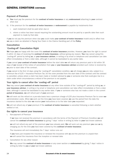# GENERAL CONDITIONS CONTINUED

# Payment of Premium

- a) You must pay the premium for the contract of motor insurance or any endorsement attaching to your contract when due
- b) if the premium for the **contract of motor insurance** or **endorsement** is payable by instalments then
	- i. each instalment shall be paid when due or
	- ii. where a notice has been issued requiring the outstanding amount must be paid by a specific date then such payment is made by that date

If you do not pay the premium when due you could make your contract of motor insurance invalid and/or affect how we pay a claim as detailed in Paying Your Claim in the Claims Handling part of the Policy

# Cancellation

# 'Cooling-off' Cancellation Right

We hope you are happy with the cover this contract of motor insurance provides. However, you have the right to cancel it within 14 days of receiving the **contract of motor insurance**, without giving any reason. You may cancel using this 'cooling-off' period by telling us, or your insurance adviser, in writing or by email or telephone and cancellation can take effect immediately or from a later date, although it cannot be backdated to any earlier date.

If you cancel your contract of motor insurance before the start date we will return any premium paid in full within 30 days of our receipt of the notice of cancellation from you or your insurance adviser provided such notice is received by us prior to start date of the contract.

If you cancel in the first 14 days using the 'cooling-off' cancellation condition, we will charge you pro rata, subject to a minimum fee of £25 + Insurance Premium Tax, for the cover provided from the start date of the contract until the contract is cancelled, unless where a claim has been made or incident advised by you or someone else that could give rise to a claim under which circumstances a refund of the premium is not payable.

# Your rights to cancel after the 'cooling–off' period

You may cancel your contract of motor insurance at any other time outside of the "cooling-off" period by telling us, or **vour insurance adviser**, in writing or by email or telephone and cancellation can take effect immediately or from a later date, although it cannot be backdated to any earlier date. If you or someone else has not made a claim in the current period of insurance, we will refund part of your premium

We will work out the refund on a pro-rata basis less a premium charge of £25 plus Insurance Premium Tax to cover our administration costs. When we work out the time you have been covered, we use the period from the date the insurance started to the date we receive your instructions or to the later date you requested.

We will not refund any of your premium if the contract of motor insurance is cancelled following a claim whether settled or not.

# Our rights to cancel your insurance

i. Non-payment of Premium

If we have not received the premium in accordance with the terms of the Payment of Premium Condition we will cancel the **contract of motor insurance** by giving 7 days' notice in writing by letter to your last known address

we will not refund any part of the premium you have already paid. We will work out any premium you owe us by charging you for the time you have been covered by this contract of motor insurance.

The insurance will end immediately the 7 days' notice runs out

If you have just incepted the insurance or renewed the insurance with us and the premium is unpaid then we will cancel the insurance from the inception or renewal date

ii. Cancellation for any other reason

We may cancel the contract of motor insurance or any cover section or endorsement by giving 7 days' notice in writing by letter to **you** at **your** last known address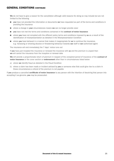# GENERAL CONDITIONS CONTINUED

We do not have to give a reason for the cancellation although valid reasons for doing so may include but are not limited to the following

- vou have not provided the information or documents we have requested as part of the terms and conditions in providing the insurance
- where a change in your circumstances means we can no longer provide cover
- **vou** have not met the terms and conditions contained in the **contract of motor insurance**
- n where you have not complied with the different policy terms and conditions imposed by us as a result of the identification of misrepresentation as detailed in the Misrepresentation Condition
- $\blacksquare$  where you have behaved in a manner that makes it inappropriate for us to continue the insurance, e.g. harassing or showing abusive or threatening behaviour towards our staff or our authorised agent

The insurance will end immediately the 7 days' notice runs out

If you have just incepted the insurance or renewed the insurance with us and the premium is unpaid then we will cancel the insurance from the inception or renewal date

We will provide a proportionate return of premium in respect of the unexpired period of insurance of the contract of motor insurance or the cover section or endorsement other than in circumstances listed below

- a) where we identify fraud as detailed in the Fraud Condition
- b) where a claim has been made or incident advised by **you** or someone else that could give rise to a claim in these circumstances a refund of the premium is not payable

If you produce a cancelled certificate of motor insurance to any person with the intention of deceiving that person into accepting it as genuine, you may be prosecuted.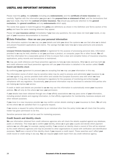# USEFUL AND IMPORTANT INFORMATION

Please read this **policy**, the **schedule** (including any **endorsements**) and the **certificate of motor insurance** very carefully. Together with the information you gave us in the proposal form or statement of fact, and the declarations that you have made, they form the contract of motor insurance. You should pay particular attention to the general exclusions, the general conditions and any endorsements which apply.

The words that appear in bold throughout this **policy** are definitions as shown in the Definition and Terms section of the policy and have the same meaning wherever they appear.

Please tell vour insurance adviser immediately if vou have any questions, the cover does not meet vour needs, or any part of **vour** insurance documentation is incorrect.

# $\blacksquare$  Data Protection – How we use your personal information

This information explains how we may use your details and tells you about the systems we use that allow us to detect and prevent fraudulent applications and claims. The savings that we make help us to keep premiums and products competitive.

Liverpool Victoria Insurance Company Limited is registered for the purpose of processing personal data. Information provided to us may be held, whether or not you purchase a product, on computer, paper file or other format. We will hold this information for a reasonable period of time to ensure that a clear and complete history of insurance enquiries, applications, policy records and transactions is maintained.

We may use credit reference and fraud prevention agencies to help us make decisions. What we do and how both we and credit reference and fraud prevention agencies will use **vour** information is detailed in the section called: Credit Search and Identity check

By confirming your agreement to proceed you are accepting that we may use your information in this way.

The information (some of which may be sensitive data) may be used to process and administer your insurance by us and our agents (e.g. service providers both within and outside the European Economic area with which we have agreements). It may also be used or disclosed to regulators for the purposes of monitoring and enforcing our compliance with any regulation. Occasionally, your personal information may be disclosed to selected third parties who are helping us improve our service.

If credit or debit card details are provided to us we may use this information to automatically renew your insurance policies. We will only do this where we have your permission.

If your details have been obtained through one of our affinity associations we may pass some of your information, including product details and ongoing information, to that affinity organisation for membership, business analysis and other relevant purposes.

If you move to a new insurance provider we may confirm certain details relating to your insurance to them. We will only do this where we are satisfied that it is a genuine request.

If we receive a request for policy information by an individual other than the policy holder we will check that the policy holder has given permission to do this.

Sensitive personal data will not be used for marketing purposes.

# Credit Search and Identity check

We use information obtained from credit reference agencies who will check the details supplied against any database, public or otherwise. This helps us to confirm your identity, allows us to give you a quote and decide which payment options we can offer you, for example, paying monthly. If we conduct an identity check a record of this will be retained by the credit reference agencies and may be provided to other organisations to assist with verification and identification purposes. You'll see a record of this identity check if you request a credit report. These searches won't affect your credit record or credit rating in any way. You can request your credit report from any credit reference agency.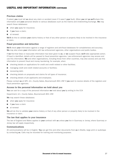# USEFUL AND IMPORTANT INFORMATION CONTINUED

# Previous claims

If asked, you must tell us about any claim or accident (even if it wasn't your fault). When you tell us we'll share this information and your personal details to various databases such as the Claims and Underwriting Exchange. We may search these databases:

- when you apply for insurance;
- $\blacksquare$  if you have a claim;
- at renewal.

We'll do this to validate your claims history or that of any other person or property likely to be involved in the insurance or claim.

# Fraud prevention and detection

We'll check your information against a range of registers and anti-fraud databases for completeness and accuracy. We may also share your information with law enforcement agencies, other organisations and public bodies.

If we find that false or inaccurate information has been given to us, or we suspect fraud, we'll take appropriate action. If fraud is identified, details will be passed to fraud prevention agencies. Law enforcement agencies may access and use this information. We and other organisations, including those from other countries, may also access and use this information to prevent fraud and money laundering, for example, when:

- n checking details on applications for credit and credit related or other facilities;
- managing credit and credit related accounts or facilities;
- recovering debt;
- n checking details on proposals and claims for all types of insurance;
- n checking details of job applicants and employees.

Please contact us at GFC, LV=, County Gates, Bournemouth BH1 2NF if you want to receive details of the registers and fraud prevention agencies.

# Access to the personal information we hold about you

You can ask for a copy of the personal information we hold about you by writing to the CCA

Department, LV=, County Gates, Bournemouth BH1 2NF.

We may search these databases:

- when you apply for insurance
- $\blacksquare$  if you have a claim
- at renewal

We will do this to validate your claims history or that of any other person or property likely to be involved in the insurance or claim.

# The law that applies to your insurance

The law of England and Wales applies to your contract with us unless you live in Guernsey or Jersey, where Guernsey or Jersey law will apply respectively.

# Communications

All communications will be in English. You can get this and other documents from us in Braille, large print or audiotape by contacting us. Calls may be recorded for training and monitoring purposes.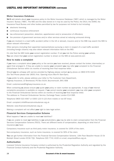# USEFUL AND IMPORTANT INFORMATION CONTINUED

# Motor Insurance Database

We'll add details about your insurance policy to the Motor Insurance Database ('MID') which is managed by the Motor Insurers' Bureau ('MIB'). The MID and the data stored on it may be used by the Police, the DVLA, the DVANI, the Insurance Fraud Bureau and other bodies permitted by law for purposes not limited to but including:

- electronic licensing
- $\Box$  continuous insurance enforcement
- law enforcement (prevention, detection, apprehension and/or prosecution of offenders)
- the provision of government services and/or other services aimed at reducing uninsured driving

If you are involved in a road traffic accident (either in the UK or abroad), insurers and/or the MIB may search the MID to obtain relevant information.

Other persons (including their appointed representatives) pursuing a claim in respect of a road traffic accident (including foreign citizens) may also obtain relevant information held on the MID.

It's vital that the MID holds your correct registration number. If not you risk the Police seizing your vehicle. You can check that your correct registration number is shown on the MID at www.askmid.com

# How to make a complaint

If you have a complaint about your policy or the service you have received, please contact the broker, intermediary or agent that arranged it. If they are unable to resolve your complaint you may refer your complaint to the Financial Ombudsman Service within six months of receiving their final response letter.

Should you be unhappy with service provided by Highway please contact us by phone on 0800 678 3159 (For Text Phone please dial 18001 first. Opening hours Mon-Fri 9am-5pm).

If you prefer to write, please address your letter to The Customer Care Department, Highway Insurance, LV Brentwood, PO Box 9104, Bournemouth, BH1 9DB

Email: customercare@highway-insurance.co.uk.

When contacting us please ensure you quote your policy or claim number as appropriate. A copy of our internal complaints procedure is available on request. If we cannot resolve your complaint, you may refer your complaint to the Financial Ombudsman Service within six months of receiving our final response letter. The address is: Financial Ombudsman Service, Exchange Tower, London E14 9SR.

Telephone 0800 023 4567 or 0300 123 9 123 (from mobile or non BT lines)

Email: complaint.info@financial-ombudsman.org.uk

Website: www.financial-ombudsman.org.uk

Making a complaint will not affect your right to take legal action.

#### Financial Services Compensation Scheme

What happens if we are unable to meet our liabilities?

If we are unable to meet our liabilities to our policyholders, you may be able to claim compensation from the Financial Services Compensation Scheme (FSCS). There are different levels of compensation, depending on what kind of insurance vou have:

Compulsory insurance such as third party motor insurance, is covered for 100% of the claim.

Non-compulsory insurance, such as home insurance, is covered for 90% of the claim.

You can get further information from the Financial Services Compensation Scheme. 10th Floor Beaufort House 15 St Botolph Street London EC3A 7QU. Telephone 020 7741 4100 or e-mail, enquiries@fscs.org.uk.

# Authorisation

Liverpool Victoria Insurance Company Limited is authorised by the Prudential Regulation Authority and regulated by the Financial Conduct Authority and the Prudential Regulation Authority.